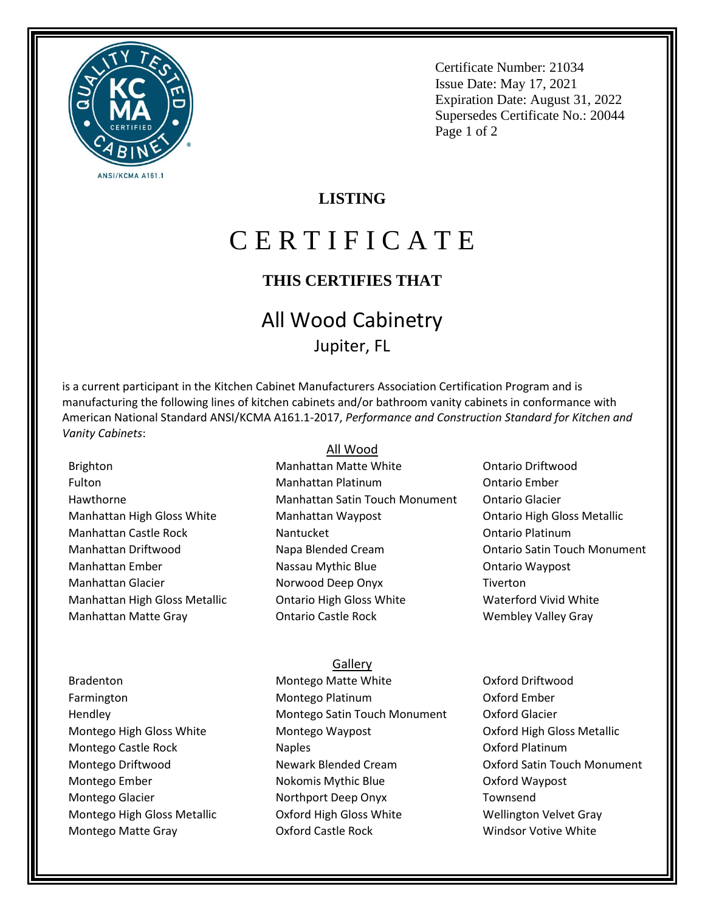

Certificate Number: 21034 Issue Date: May 17, 2021 Expiration Date: August 31, 2022 Supersedes Certificate No.: 20044 Page 1 of 2

### **LISTING**

# C E R T I F I C A T E

# **THIS CERTIFIES THAT**

# All Wood Cabinetry Jupiter, FL

is a current participant in the Kitchen Cabinet Manufacturers Association Certification Program and is manufacturing the following lines of kitchen cabinets and/or bathroom vanity cabinets in conformance with American National Standard ANSI/KCMA A161.1-2017, *Performance and Construction Standard for Kitchen and Vanity Cabinets*:

Brighton Fulton Hawthorne Manhattan High Gloss White Manhattan Castle Rock Manhattan Driftwood Manhattan Ember Manhattan Glacier Manhattan High Gloss Metallic Manhattan Matte Gray

#### All Wood

- Manhattan Matte White Manhattan Platinum Manhattan Satin Touch Monument Manhattan Waypost Nantucket Napa Blended Cream Nassau Mythic Blue Norwood Deep Onyx Ontario High Gloss White Ontario Castle Rock
- Ontario Driftwood Ontario Ember Ontario Glacier Ontario High Gloss Metallic Ontario Platinum Ontario Satin Touch Monument Ontario Waypost Tiverton Waterford Vivid White Wembley Valley Gray

#### Bradenton Farmington Hendley Montego High Gloss White Montego Castle Rock Montego Driftwood Montego Ember Montego Glacier Montego High Gloss Metallic Montego Matte Gray

Montego Matte White Montego Platinum Montego Satin Touch Monument Montego Waypost Naples Newark Blended Cream Nokomis Mythic Blue Northport Deep Onyx Oxford High Gloss White Oxford Castle Rock

**Gallery** 

Oxford Driftwood Oxford Ember Oxford Glacier Oxford High Gloss Metallic Oxford Platinum Oxford Satin Touch Monument Oxford Waypost Townsend Wellington Velvet Gray Windsor Votive White